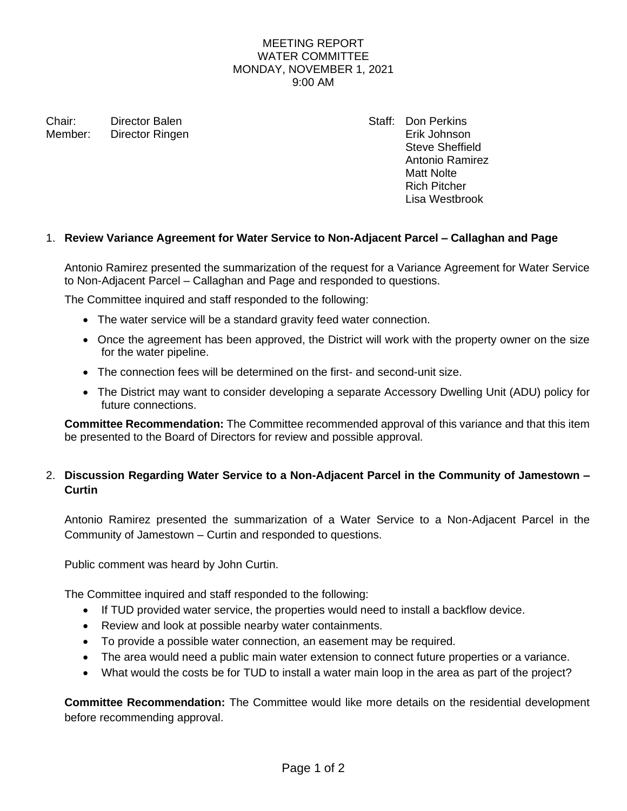### MEETING REPORT WATER COMMITTEE MONDAY, NOVEMBER 1, 2021 9:00 AM

Chair: Director Balen Staff: Don Perkins Member: Director Ringen Erik Johnson

Steve Sheffield Antonio Ramirez Matt Nolte Rich Pitcher Lisa Westbrook

### 1. **Review Variance Agreement for Water Service to Non-Adjacent Parcel – Callaghan and Page**

Antonio Ramirez presented the summarization of the request for a Variance Agreement for Water Service to Non-Adjacent Parcel – Callaghan and Page and responded to questions.

The Committee inquired and staff responded to the following:

- The water service will be a standard gravity feed water connection.
- Once the agreement has been approved, the District will work with the property owner on the size for the water pipeline.
- The connection fees will be determined on the first- and second-unit size.
- The District may want to consider developing a separate Accessory Dwelling Unit (ADU) policy for future connections.

**Committee Recommendation:** The Committee recommended approval of this variance and that this item be presented to the Board of Directors for review and possible approval.

# 2. **Discussion Regarding Water Service to a Non-Adjacent Parcel in the Community of Jamestown – Curtin**

Antonio Ramirez presented the summarization of a Water Service to a Non-Adjacent Parcel in the Community of Jamestown – Curtin and responded to questions.

Public comment was heard by John Curtin.

The Committee inquired and staff responded to the following:

- If TUD provided water service, the properties would need to install a backflow device.
- Review and look at possible nearby water containments.
- To provide a possible water connection, an easement may be required.
- The area would need a public main water extension to connect future properties or a variance.
- What would the costs be for TUD to install a water main loop in the area as part of the project?

**Committee Recommendation:** The Committee would like more details on the residential development before recommending approval.